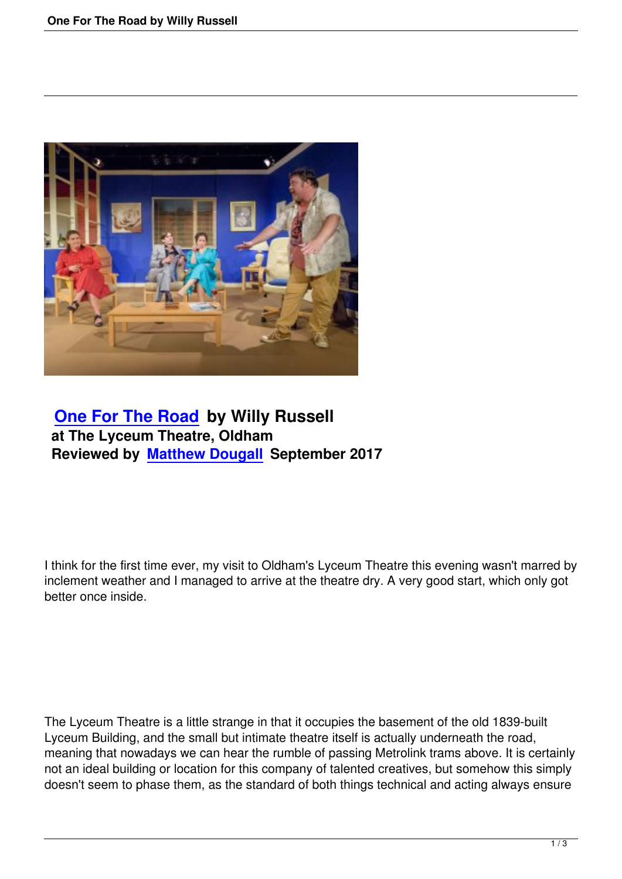

## **One For The Road by Willy Russell at The Lyceum Theatre, Oldham [Reviewed by Matthew](one-for-the-road-by-willy-russell.html) Dougall September 2017**

I think for the first time ever, my visit to Oldham's Lyceum Theatre this evening wasn't marred by inclement weather and I managed to arrive at the theatre dry. A very good start, which only got better once inside.

The Lyceum Theatre is a little strange in that it occupies the basement of the old 1839-built Lyceum Building, and the small but intimate theatre itself is actually underneath the road, meaning that nowadays we can hear the rumble of passing Metrolink trams above. It is certainly not an ideal building or location for this company of talented creatives, but somehow this simply doesn't seem to phase them, as the standard of both things technical and acting always ensure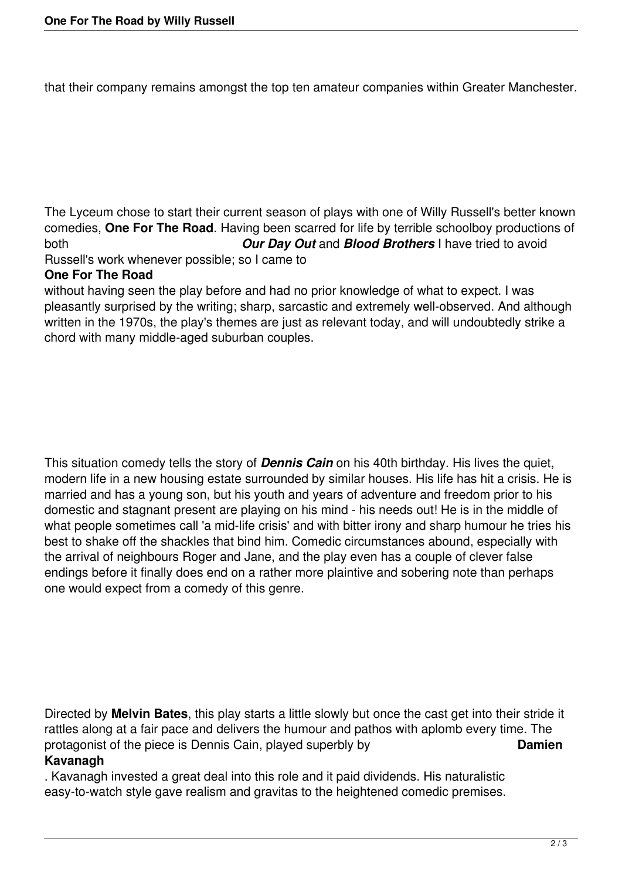that their company remains amongst the top ten amateur companies within Greater Manchester.

The Lyceum chose to start their current season of plays with one of Willy Russell's better known comedies, **One For The Road**. Having been scarred for life by terrible schoolboy productions of both *Our Day Out* and *Blood Brothers* I have tried to avoid

Russell's work whenever possible; so I came to

## **One For The Road**

without having seen the play before and had no prior knowledge of what to expect. I was pleasantly surprised by the writing; sharp, sarcastic and extremely well-observed. And although written in the 1970s, the play's themes are just as relevant today, and will undoubtedly strike a chord with many middle-aged suburban couples.

This situation comedy tells the story of *Dennis Cain* on his 40th birthday. His lives the quiet, modern life in a new housing estate surrounded by similar houses. His life has hit a crisis. He is married and has a young son, but his youth and years of adventure and freedom prior to his domestic and stagnant present are playing on his mind - his needs out! He is in the middle of what people sometimes call 'a mid-life crisis' and with bitter irony and sharp humour he tries his best to shake off the shackles that bind him. Comedic circumstances abound, especially with the arrival of neighbours Roger and Jane, and the play even has a couple of clever false endings before it finally does end on a rather more plaintive and sobering note than perhaps one would expect from a comedy of this genre.

Directed by **Melvin Bates**, this play starts a little slowly but once the cast get into their stride it rattles along at a fair pace and delivers the humour and pathos with aplomb every time. The protagonist of the piece is Dennis Cain, played superbly by **Damien Kavanagh**

. Kavanagh invested a great deal into this role and it paid dividends. His naturalistic easy-to-watch style gave realism and gravitas to the heightened comedic premises.